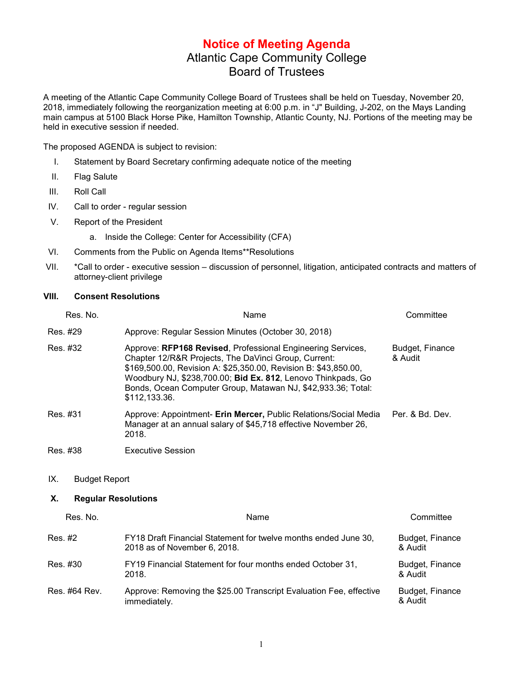## **Notice of Meeting Agenda** Atlantic Cape Community College Board of Trustees

A meeting of the Atlantic Cape Community College Board of Trustees shall be held on Tuesday, November 20, 2018, immediately following the reorganization meeting at 6:00 p.m. in "J" Building, J-202, on the Mays Landing main campus at 5100 Black Horse Pike, Hamilton Township, Atlantic County, NJ. Portions of the meeting may be held in executive session if needed.

The proposed AGENDA is subject to revision:

- I. Statement by Board Secretary confirming adequate notice of the meeting
- II. Flag Salute
- III. Roll Call
- IV. Call to order regular session
- V. Report of the President
	- a. Inside the College: Center for Accessibility (CFA)
- VI. Comments from the Public on Agenda Items\*\*Resolutions
- VII. \*Call to order executive session discussion of personnel, litigation, anticipated contracts and matters of attorney-client privilege

## **VIII. Consent Resolutions**

|          | Res. No.                   | Name                                                                                                                                                                                                                                                                                                                                    | Committee                  |  |  |
|----------|----------------------------|-----------------------------------------------------------------------------------------------------------------------------------------------------------------------------------------------------------------------------------------------------------------------------------------------------------------------------------------|----------------------------|--|--|
| Res. #29 |                            | Approve: Regular Session Minutes (October 30, 2018)                                                                                                                                                                                                                                                                                     |                            |  |  |
| Res. #32 |                            | Approve: RFP168 Revised, Professional Engineering Services,<br>Chapter 12/R&R Projects, The DaVinci Group, Current:<br>\$169,500.00, Revision A: \$25,350.00, Revision B: \$43,850.00,<br>Woodbury NJ, \$238,700.00; Bid Ex. 812, Lenovo Thinkpads, Go<br>Bonds, Ocean Computer Group, Matawan NJ, \$42,933.36; Total:<br>\$112,133.36. | Budget, Finance<br>& Audit |  |  |
| Res. #31 |                            | Approve: Appointment- Erin Mercer, Public Relations/Social Media<br>Manager at an annual salary of \$45,718 effective November 26,<br>2018.                                                                                                                                                                                             | Per. & Bd. Dev.            |  |  |
| Res. #38 |                            | <b>Executive Session</b>                                                                                                                                                                                                                                                                                                                |                            |  |  |
| IX.      | <b>Budget Report</b>       |                                                                                                                                                                                                                                                                                                                                         |                            |  |  |
| Х.       | <b>Regular Resolutions</b> |                                                                                                                                                                                                                                                                                                                                         |                            |  |  |
|          | Res. No.                   | Name                                                                                                                                                                                                                                                                                                                                    | Committee                  |  |  |
| Res. #2  |                            | FY18 Draft Financial Statement for twelve months ended June 30,<br>2018 as of November 6, 2018.                                                                                                                                                                                                                                         | Budget, Finance<br>& Audit |  |  |
| Res. #30 |                            | FY19 Financial Statement for four months ended October 31,<br>2018.                                                                                                                                                                                                                                                                     | Budget, Finance<br>& Audit |  |  |
|          | Res. #64 Rev.              | Approve: Removing the \$25.00 Transcript Evaluation Fee, effective<br>immediately.                                                                                                                                                                                                                                                      | Budget, Finance<br>& Audit |  |  |